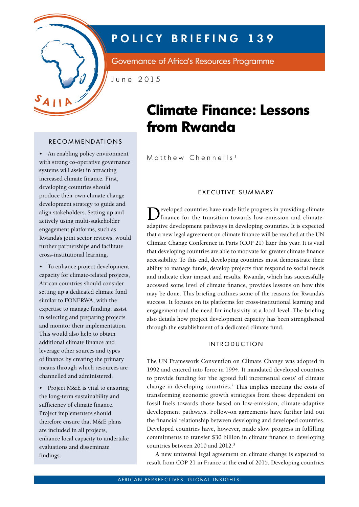

# **POLICY BRIEFING 139**

Governance of Africa's Resources Programme

June 2015

## **RECOMMENDATIONS**

• An enabling policy environment with strong co-operative governance systems will assist in attracting increased climate finance. First, developing countries should produce their own climate change development strategy to guide and align stakeholders. Setting up and actively using multi-stakeholder engagement platforms, such as Rwanda's joint sector reviews, would further partnerships and facilitate cross-institutional learning.

• To enhance project development capacity for climate-related projects, African countries should consider setting up a dedicated climate fund similar to FONERWA, with the expertise to manage funding, assist in selecting and preparing projects and monitor their implementation. This would also help to obtain additional climate finance and leverage other sources and types of finance by creating the primary means through which resources are channelled and administered.

• Project M&E is vital to ensuring the long-term sustainability and sufficiency of climate finance. Project implementers should therefore ensure that M&E plans are included in all projects, enhance local capacity to undertake evaluations and disseminate findings.

# **Climate Finance: Lessons from Rwanda**

Matthew Chennells<sup>1</sup>

#### e X e c U tive s UMMARY

Developed countries have made little progress in providing climate finance for the transition towards low-emission and climateadaptive development pathways in developing countries. It is expected that a new legal agreement on climate finance will be reached at the UN Climate Change Conference in Paris (COP 21) later this year. It is vital that developing countries are able to motivate for greater climate finance accessibility. To this end, developing countries must demonstrate their ability to manage funds, develop projects that respond to social needs and indicate clear impact and results. Rwanda, which has successfully accessed some level of climate finance, provides lessons on how this may be done. This briefing outlines some of the reasons for Rwanda's success. It focuses on its platforms for cross-institutional learning and engagement and the need for inclusivity at a local level. The briefing also details how project development capacity has been strengthened through the establishment of a dedicated climate fund.

### **INTRODUCTION**

The UN Framework Convention on Climate Change was adopted in 1992 and entered into force in 1994. It mandated developed countries to provide funding for 'the agreed full incremental costs' of climate change in developing countries.<sup>2</sup> This implies meeting the costs of transforming economic growth strategies from those dependent on fossil fuels towards those based on low-emission, climate-adaptive development pathways. Follow-on agreements have further laid out the financial relationship between developing and developed countries. Developed countries have, however, made slow progress in fulfilling commitments to transfer \$30 billion in climate finance to developing countries between 2010 and 2012.3

A new universal legal agreement on climate change is expected to result from COP 21 in France at the end of 2015. Developing countries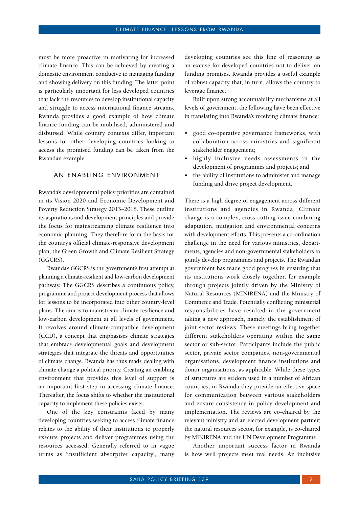must be more proactive in motivating for increased climate finance. This can be achieved by creating a domestic environment conducive to managing funding and showing delivery on this funding. The latter point is particularly important for less developed countries that lack the resources to develop institutional capacity and struggle to access international finance streams. Rwanda provides a good example of how climate finance funding can be mobilised, administered and disbursed. While country contexts differ, important lessons for other developing countries looking to access the promised funding can be taken from the Rwandan example.

### AN ENABLING ENVIRONMENT

Rwanda's developmental policy priorities are contained in its Vision 2020 and Economic Development and Poverty Reduction Strategy 2013–2018. These outline its aspirations and development principles and provide the focus for mainstreaming climate resilience into economic planning. They therefore form the basis for the country's official climate-responsive development plan, the Green Growth and Climate Resilient Strategy (GGCRS).

Rwanda's GGCRS is the government's first attempt at planning a climate-resilient and low-carbon development pathway. The GGCRS describes a continuous policy, programme and project development process that allows for lessons to be incorporated into other country-level plans. The aim is to mainstream climate resilience and low-carbon development at all levels of government. It revolves around climate-compatible development (CCD), a concept that emphasises climate strategies that embrace developmental goals and development strategies that integrate the threats and opportunities of climate change. Rwanda has thus made dealing with climate change a political priority. Creating an enabling environment that provides this level of support is an important first step in accessing climate finance. Thereafter, the focus shifts to whether the institutional capacity to implement these policies exists.

One of the key constraints faced by many developing countries seeking to access climate finance relates to the ability of their institutions to properly execute projects and deliver programmes using the resources accessed. Generally referred to in vague terms as 'insufficient absorptive capacity', many developing countries see this line of reasoning as an excuse for developed countries not to deliver on funding promises. Rwanda provides a useful example of robust capacity that, in turn, allows the country to leverage finance.

Built upon strong accountability mechanisms at all levels of government, the following have been effective in translating into Rwanda's receiving climate finance:

- good co-operative governance frameworks, with collaboration across ministries and significant stakeholder engagement;
- • highly inclusive needs assessments in the development of programmes and projects; and
- the ability of institutions to administer and manage funding and drive project development.

There is a high degree of engagement across different institutions and agencies in Rwanda. Climate change is a complex, cross-cutting issue combining adaptation, mitigation and environmental concerns with development efforts. This presents a co-ordination challenge in the need for various ministries, departments, agencies and non-governmental stakeholders to jointly develop programmes and projects. The Rwandan government has made good progress in ensuring that its institutions work closely together, for example through projects jointly driven by the Ministry of Natural Resources (MINIRENA) and the Ministry of Commerce and Trade. Potentially conflicting ministerial responsibilities have resulted in the government taking a new approach, namely the establishment of joint sector reviews. These meetings bring together different stakeholders operating within the same sector or sub-sector. Participants include the public sector, private sector companies, non-governmental organisations, development finance institutions and donor organisations, as applicable. While these types of structures are seldom used in a number of African countries, in Rwanda they provide an effective space for communication between various stakeholders and ensure consistency in policy development and implementation. The reviews are co-chaired by the relevant ministry and an elected development partner; the natural resources sector, for example, is co-chaired by MINIRENA and the UN Development Programme.

Another important success factor in Rwanda is how well projects meet real needs. An inclusive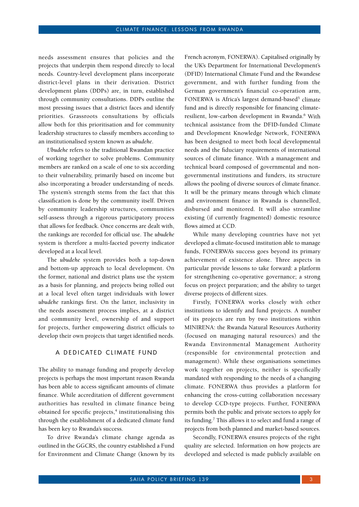needs assessment ensures that policies and the projects that underpin them respond directly to local needs. Country-level development plans incorporate district-level plans in their derivation. District development plans (DDPs) are, in turn, established through community consultations. DDPs outline the most pressing issues that a district faces and identify priorities. Grassroots consultations by officials allow both for this prioritisation and for community leadership structures to classify members according to an institutionalised system known as *ubudehe*.

*Ubudehe* refers to the traditional Rwandan practice of working together to solve problems. Community members are ranked on a scale of one to six according to their vulnerability, primarily based on income but also incorporating a broader understanding of needs. The system's strength stems from the fact that this classification is done by the community itself. Driven by community leadership structures, communities self-assess through a rigorous participatory process that allows for feedback. Once concerns are dealt with, the rankings are recorded for official use. The *ubudehe* system is therefore a multi-faceted poverty indicator developed at a local level.

The *ubudehe* system provides both a top-down and bottom-up approach to local development. On the former, national and district plans use the system as a basis for planning, and projects being rolled out at a local level often target individuals with lower *ubudehe* rankings first. On the latter, inclusivity in the needs assessment process implies, at a district and community level, ownership of and support for projects, further empowering district officials to develop their own projects that target identified needs.

#### A DEDICATED CLIMATE FUND

The ability to manage funding and properly develop projects is perhaps the most important reason Rwanda has been able to access significant amounts of climate finance. While accreditation of different government authorities has resulted in climate finance being obtained for specific projects,<sup>4</sup> institutionalising this through the establishment of a dedicated climate fund has been key to Rwanda's success.

To drive Rwanda's climate change agenda as outlined in the GGCRS, the country established a Fund for Environment and Climate Change (known by its

French acronym, FONERWA). Capitalised originally by the UK's Department for International Development's (DFID) International Climate Fund and the Rwandese government, and with further funding from the German government's financial co-operation arm, FONERWA is Africa's largest demand-based<sup>5</sup> climate fund and is directly responsible for financing climateresilient, low-carbon development in Rwanda.<sup>6</sup> With technical assistance from the DFID-funded Climate and Development Knowledge Network, FONERWA has been designed to meet both local developmental needs and the fiduciary requirements of international sources of climate finance. With a management and technical board composed of governmental and nongovernmental institutions and funders, its structure allows the pooling of diverse sources of climate finance. It will be the primary means through which climate and environment finance in Rwanda is channelled, disbursed and monitored. It will also streamline existing (if currently fragmented) domestic resource flows aimed at CCD.

While many developing countries have not yet developed a climate-focused institution able to manage funds, FONERWA's success goes beyond its primary achievement of existence alone. Three aspects in particular provide lessons to take forward: a platform for strengthening co-operative governance; a strong focus on project preparation; and the ability to target diverse projects of different sizes.

Firstly, FONERWA works closely with other institutions to identify and fund projects. A number of its projects are run by two institutions within MINIRENA: the Rwanda Natural Resources Authority (focused on managing natural resources) and the Rwanda Environmental Management Authority (responsible for environmental protection and management). While these organisations sometimes work together on projects, neither is specifically mandated with responding to the needs of a changing climate. FONERWA thus provides a platform for enhancing the cross-cutting collaboration necessary to develop CCD-type projects. Further, FONERWA permits both the public and private sectors to apply for its funding.<sup>7</sup> This allows it to select and fund a range of projects from both planned and market-based sources.

Secondly, FONERWA ensures projects of the right quality are selected. Information on how projects are developed and selected is made publicly available on